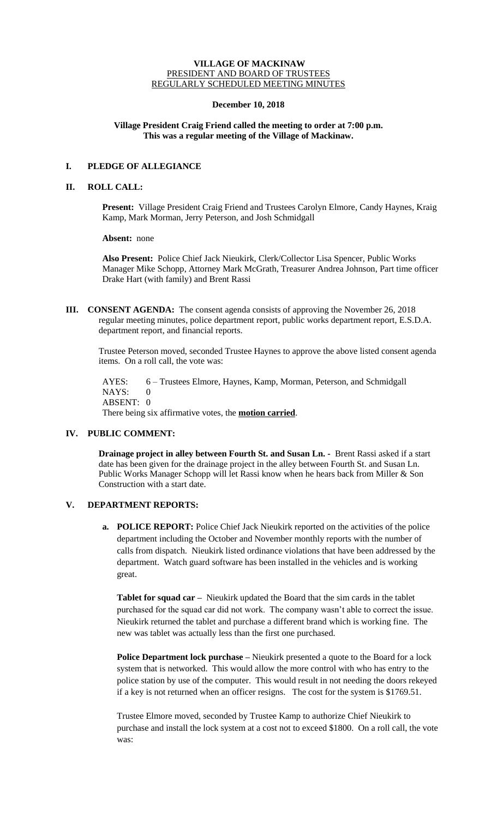#### **VILLAGE OF MACKINAW** PRESIDENT AND BOARD OF TRUSTEES REGULARLY SCHEDULED MEETING MINUTES

#### **December 10, 2018**

# **Village President Craig Friend called the meeting to order at 7:00 p.m. This was a regular meeting of the Village of Mackinaw.**

# **I. PLEDGE OF ALLEGIANCE**

# **II. ROLL CALL:**

**Present:** Village President Craig Friend and Trustees Carolyn Elmore, Candy Haynes, Kraig Kamp, Mark Morman, Jerry Peterson, and Josh Schmidgall

**Absent:** none

**Also Present:** Police Chief Jack Nieukirk, Clerk/Collector Lisa Spencer, Public Works Manager Mike Schopp, Attorney Mark McGrath, Treasurer Andrea Johnson, Part time officer Drake Hart (with family) and Brent Rassi

**III. CONSENT AGENDA:** The consent agenda consists of approving the November 26, 2018 regular meeting minutes, police department report, public works department report, E.S.D.A. department report, and financial reports.

Trustee Peterson moved, seconded Trustee Haynes to approve the above listed consent agenda items. On a roll call, the vote was:

AYES: 6 – Trustees Elmore, Haynes, Kamp, Morman, Peterson, and Schmidgall NAYS: 0 ABSENT: 0 There being six affirmative votes, the **motion carried**.

# **IV. PUBLIC COMMENT:**

**Drainage project in alley between Fourth St. and Susan Ln. -** Brent Rassi asked if a start date has been given for the drainage project in the alley between Fourth St. and Susan Ln. Public Works Manager Schopp will let Rassi know when he hears back from Miller & Son Construction with a start date.

# **V. DEPARTMENT REPORTS:**

**a. POLICE REPORT:** Police Chief Jack Nieukirk reported on the activities of the police department including the October and November monthly reports with the number of calls from dispatch. Nieukirk listed ordinance violations that have been addressed by the department. Watch guard software has been installed in the vehicles and is working great.

**Tablet for squad car –** Nieukirk updated the Board that the sim cards in the tablet purchased for the squad car did not work. The company wasn't able to correct the issue. Nieukirk returned the tablet and purchase a different brand which is working fine. The new was tablet was actually less than the first one purchased.

**Police Department lock purchase –** Nieukirk presented a quote to the Board for a lock system that is networked. This would allow the more control with who has entry to the police station by use of the computer. This would result in not needing the doors rekeyed if a key is not returned when an officer resigns. The cost for the system is \$1769.51.

Trustee Elmore moved, seconded by Trustee Kamp to authorize Chief Nieukirk to purchase and install the lock system at a cost not to exceed \$1800. On a roll call, the vote was: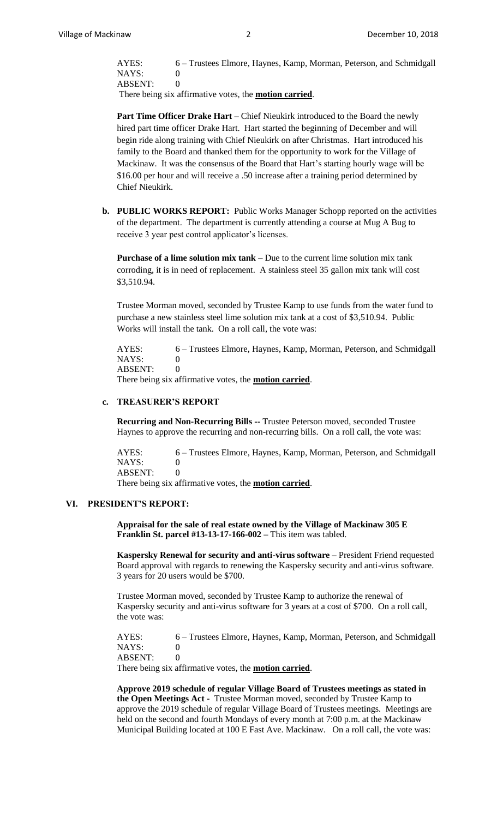AYES: 6 – Trustees Elmore, Haynes, Kamp, Morman, Peterson, and Schmidgall NAYS: 0 ABSENT: 0

There being six affirmative votes, the **motion carried**.

**Part Time Officer Drake Hart –** Chief Nieukirk introduced to the Board the newly hired part time officer Drake Hart. Hart started the beginning of December and will begin ride along training with Chief Nieukirk on after Christmas. Hart introduced his family to the Board and thanked them for the opportunity to work for the Village of Mackinaw. It was the consensus of the Board that Hart's starting hourly wage will be \$16.00 per hour and will receive a .50 increase after a training period determined by Chief Nieukirk.

**b. PUBLIC WORKS REPORT:** Public Works Manager Schopp reported on the activities of the department. The department is currently attending a course at Mug A Bug to receive 3 year pest control applicator's licenses.

**Purchase of a lime solution mix tank –** Due to the current lime solution mix tank corroding, it is in need of replacement. A stainless steel 35 gallon mix tank will cost \$3,510.94.

Trustee Morman moved, seconded by Trustee Kamp to use funds from the water fund to purchase a new stainless steel lime solution mix tank at a cost of \$3,510.94. Public Works will install the tank. On a roll call, the vote was:

AYES: 6 – Trustees Elmore, Haynes, Kamp, Morman, Peterson, and Schmidgall NAYS: 0 ABSENT: 0

There being six affirmative votes, the **motion carried**.

# **c. TREASURER'S REPORT**

**Recurring and Non-Recurring Bills --** Trustee Peterson moved, seconded Trustee Haynes to approve the recurring and non-recurring bills. On a roll call, the vote was:

AYES: 6 – Trustees Elmore, Haynes, Kamp, Morman, Peterson, and Schmidgall NAYS: 0 ABSENT: 0

There being six affirmative votes, the **motion carried**.

#### **VI. PRESIDENT'S REPORT:**

**Appraisal for the sale of real estate owned by the Village of Mackinaw 305 E Franklin St. parcel #13-13-17-166-002 –** This item was tabled.

**Kaspersky Renewal for security and anti-virus software –** President Friend requested Board approval with regards to renewing the Kaspersky security and anti-virus software. 3 years for 20 users would be \$700.

Trustee Morman moved, seconded by Trustee Kamp to authorize the renewal of Kaspersky security and anti-virus software for 3 years at a cost of \$700. On a roll call, the vote was:

AYES: 6 – Trustees Elmore, Haynes, Kamp, Morman, Peterson, and Schmidgall NAYS: 0 ABSENT: 0

There being six affirmative votes, the **motion carried**.

**Approve 2019 schedule of regular Village Board of Trustees meetings as stated in the Open Meetings Act -** Trustee Morman moved, seconded by Trustee Kamp to approve the 2019 schedule of regular Village Board of Trustees meetings. Meetings are held on the second and fourth Mondays of every month at 7:00 p.m. at the Mackinaw Municipal Building located at 100 E Fast Ave. Mackinaw. On a roll call, the vote was: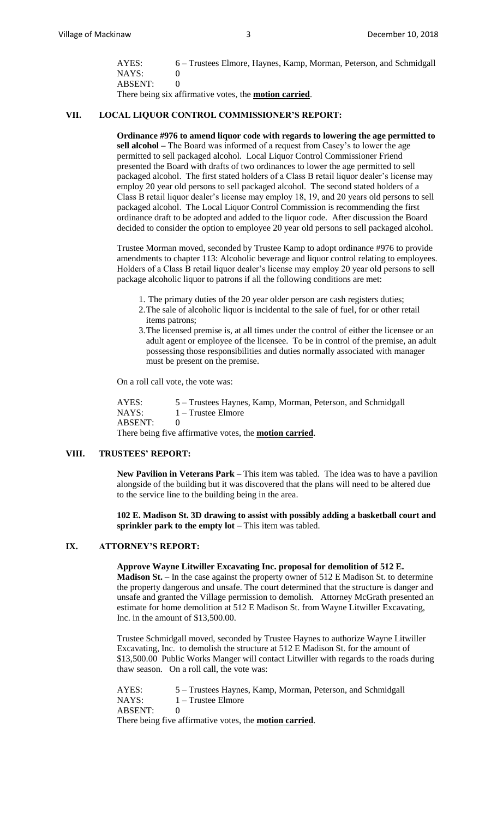| AYES:   | 6 – Trustees Elmore, Haynes, Kamp, Morman, Peterson, and Schmidgall |
|---------|---------------------------------------------------------------------|
| NAYS:   |                                                                     |
| ABSENT: |                                                                     |
|         |                                                                     |

There being six affirmative votes, the **motion carried**.

# **VII. LOCAL LIQUOR CONTROL COMMISSIONER'S REPORT:**

**Ordinance #976 to amend liquor code with regards to lowering the age permitted to sell alcohol –** The Board was informed of a request from Casey's to lower the age permitted to sell packaged alcohol.Local Liquor Control Commissioner Friend presented the Board with drafts of two ordinances to lower the age permitted to sell packaged alcohol. The first stated holders of a Class B retail liquor dealer's license may employ 20 year old persons to sell packaged alcohol. The second stated holders of a Class B retail liquor dealer's license may employ 18, 19, and 20 years old persons to sell packaged alcohol. The Local Liquor Control Commission is recommending the first ordinance draft to be adopted and added to the liquor code. After discussion the Board decided to consider the option to employee 20 year old persons to sell packaged alcohol.

Trustee Morman moved, seconded by Trustee Kamp to adopt ordinance #976 to provide amendments to chapter 113: Alcoholic beverage and liquor control relating to employees. Holders of a Class B retail liquor dealer's license may employ 20 year old persons to sell package alcoholic liquor to patrons if all the following conditions are met:

- 1. The primary duties of the 20 year older person are cash registers duties;
- 2.The sale of alcoholic liquor is incidental to the sale of fuel, for or other retail items patrons;
- 3.The licensed premise is, at all times under the control of either the licensee or an adult agent or employee of the licensee. To be in control of the premise, an adult possessing those responsibilities and duties normally associated with manager must be present on the premise.

On a roll call vote, the vote was:

AYES: 5 – Trustees Haynes, Kamp, Morman, Peterson, and Schmidgall NAYS:  $1 - \text{Trustee Elmore}$ ABSENT: 0 There being five affirmative votes, the **motion carried**.

#### **VIII. TRUSTEES' REPORT:**

**New Pavilion in Veterans Park –** This item was tabled. The idea was to have a pavilion alongside of the building but it was discovered that the plans will need to be altered due to the service line to the building being in the area.

**102 E. Madison St. 3D drawing to assist with possibly adding a basketball court and sprinkler park to the empty lot** – This item was tabled.

# **IX. ATTORNEY'S REPORT:**

#### **Approve Wayne Litwiller Excavating Inc. proposal for demolition of 512 E.**

**Madison St. –** In the case against the property owner of 512 E Madison St. to determine the property dangerous and unsafe. The court determined that the structure is danger and unsafe and granted the Village permission to demolish. Attorney McGrath presented an estimate for home demolition at 512 E Madison St. from Wayne Litwiller Excavating, Inc. in the amount of \$13,500.00.

Trustee Schmidgall moved, seconded by Trustee Haynes to authorize Wayne Litwiller Excavating, Inc. to demolish the structure at 512 E Madison St. for the amount of \$13,500.00 Public Works Manger will contact Litwiller with regards to the roads during thaw season. On a roll call, the vote was:

| AYES:   | 5 – Trustees Haynes, Kamp, Morman, Peterson, and Schmidgall     |
|---------|-----------------------------------------------------------------|
| NAYS: \ | 1 – Trustee Elmore                                              |
| ABSENT: |                                                                 |
|         | There being five affirmative votes, the <b>motion carried</b> . |